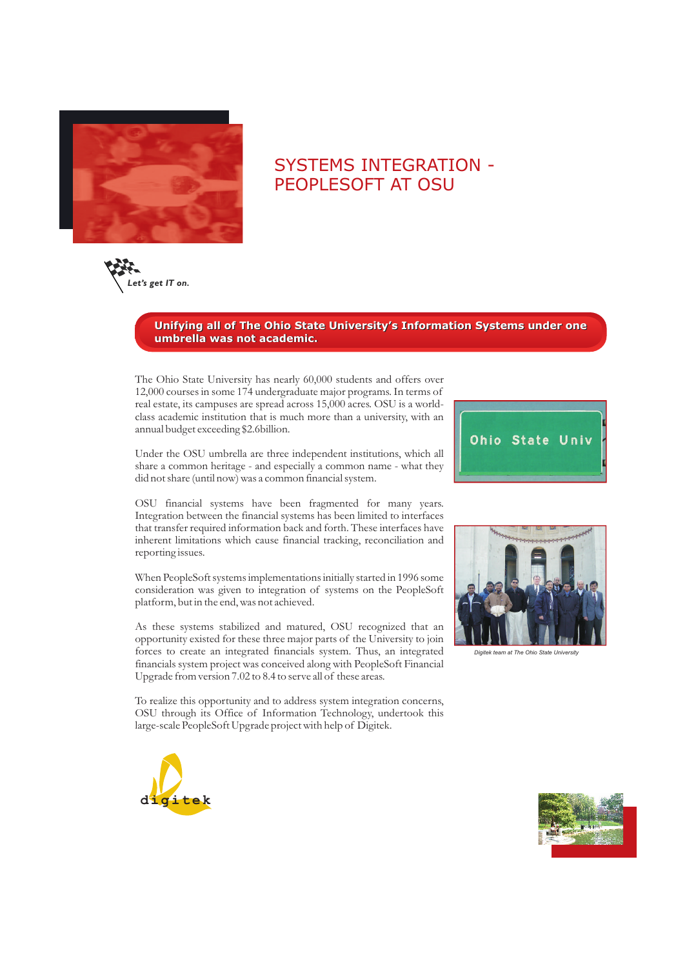

## SYSTEMS INTEGRATION - PEOPLESOFT AT OSU



## **Unifying all of The Ohio State University's Information Systems under one umbrella was not academic.**

The Ohio State University has nearly 60,000 students and offers over 12,000 courses in some 174 undergraduate major programs. In terms of real estate, its campuses are spread across 15,000 acres. OSU is a worldclass academic institution that is much more than a university, with an annual budget exceeding \$2.6billion.

Under the OSU umbrella are three independent institutions, which all share a common heritage - and especially a common name - what they did not share (until now) was a common financial system.

OSU financial systems have been fragmented for many years. Integration between the financial systems has been limited to interfaces that transfer required information back and forth. These interfaces have inherent limitations which cause financial tracking, reconciliation and reporting issues.

When PeopleSoft systems implementations initially started in 1996 some consideration was given to integration of systems on the PeopleSoft platform, but in the end, was not achieved.

As these systems stabilized and matured, OSU recognized that an opportunity existed for these three major parts of the University to join forces to create an integrated financials system. Thus, an integrated financials system project was conceived along with PeopleSoft Financial Upgrade from version 7.02 to 8.4 to serve all of these areas.

To realize this opportunity and to address system integration concerns, OSU through its Office of Information Technology, undertook this large-scale PeopleSoft Upgrade project with help of Digitek.





*Digitek team at The Ohio State University*